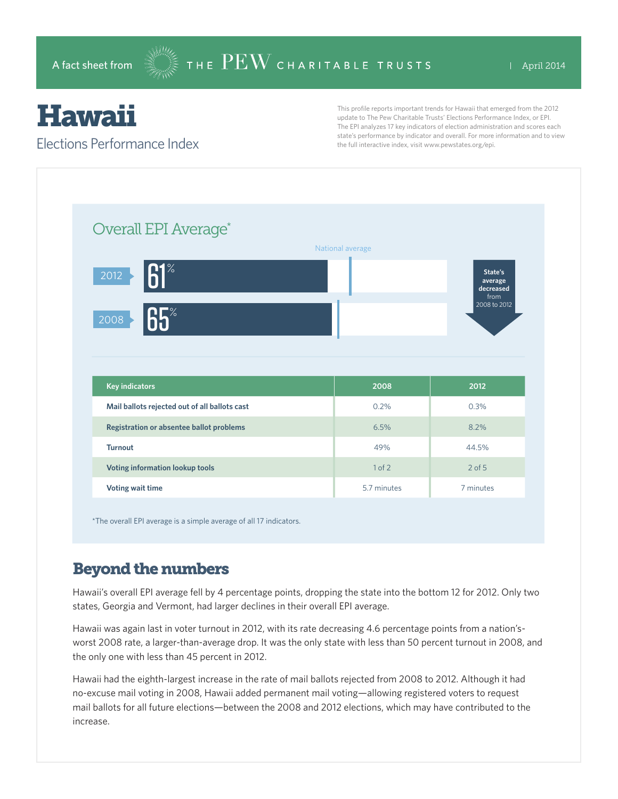# **Hawaii**

### Elections Performance Index

This profile reports important trends for Hawaii that emerged from the 2012 update to The Pew Charitable Trusts' Elections Performance Index, or EPI. The EPI analyzes 17 key indicators of election administration and scores each state's performance by indicator and overall. For more information and to view the full interactive index, visit www.pewstates.org/epi.

| Overall EPI Average*                          |                  |                                                         |
|-----------------------------------------------|------------------|---------------------------------------------------------|
|                                               | National average |                                                         |
| $61^\circ$<br>$\overline{2012}$               |                  | State's<br>average<br>decreased<br>from<br>2008 to 2012 |
| $65^\circ$<br>2008                            |                  |                                                         |
|                                               |                  |                                                         |
|                                               |                  |                                                         |
|                                               |                  |                                                         |
| <b>Key indicators</b>                         | 2008             | 2012                                                    |
| Mail ballots rejected out of all ballots cast | 0.2%             | 0.3%                                                    |
| Registration or absentee ballot problems      | 6.5%             | 8.2%                                                    |
| <b>Turnout</b>                                | 49%              | 44.5%                                                   |
| Voting information lookup tools               | 1 of 2           | $2$ of $5$                                              |

\*The overall EPI average is a simple average of all 17 indicators.

## Beyond the numbers

Hawaii's overall EPI average fell by 4 percentage points, dropping the state into the bottom 12 for 2012. Only two states, Georgia and Vermont, had larger declines in their overall EPI average.

Hawaii was again last in voter turnout in 2012, with its rate decreasing 4.6 percentage points from a nation'sworst 2008 rate, a larger-than-average drop. It was the only state with less than 50 percent turnout in 2008, and the only one with less than 45 percent in 2012.

Hawaii had the eighth-largest increase in the rate of mail ballots rejected from 2008 to 2012. Although it had no-excuse mail voting in 2008, Hawaii added permanent mail voting—allowing registered voters to request mail ballots for all future elections—between the 2008 and 2012 elections, which may have contributed to the increase.